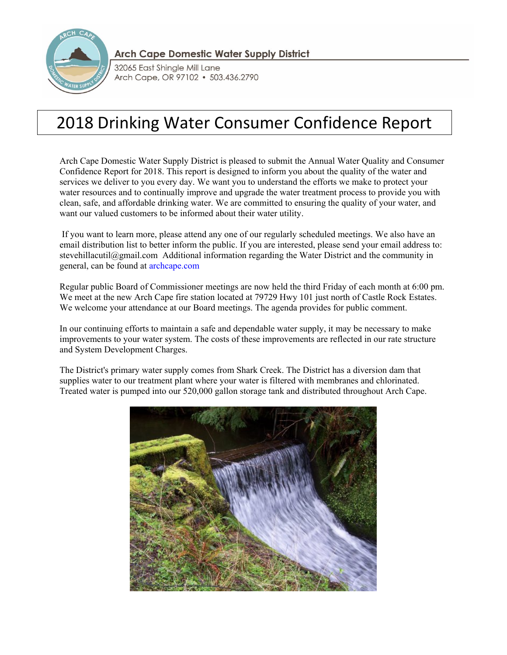

**Arch Cape Domestic Water Supply District** 

32065 East Shingle Mill Lane Arch Cape, OR 97102 · 503.436.2790

# 2018 Drinking Water Consumer Confidence Report

Arch Cape Domestic Water Supply District is pleased to submit the Annual Water Quality and Consumer Confidence Report for 2018. This report is designed to inform you about the quality of the water and services we deliver to you every day. We want you to understand the efforts we make to protect your water resources and to continually improve and upgrade the water treatment process to provide you with clean, safe, and affordable drinking water. We are committed to ensuring the quality of your water, and want our valued customers to be informed about their water utility.

 If you want to learn more, please attend any one of our regularly scheduled meetings. We also have an email distribution list to better inform the public. If you are interested, please send your email address to: stevehillacutil@gmail.com Additional information regarding the Water District and the community in general, can be found at archcape.com

Regular public Board of Commissioner meetings are now held the third Friday of each month at 6:00 pm. We meet at the new Arch Cape fire station located at 79729 Hwy 101 just north of Castle Rock Estates. We welcome your attendance at our Board meetings. The agenda provides for public comment.

In our continuing efforts to maintain a safe and dependable water supply, it may be necessary to make improvements to your water system. The costs of these improvements are reflected in our rate structure and System Development Charges.

The District's primary water supply comes from Shark Creek. The District has a diversion dam that supplies water to our treatment plant where your water is filtered with membranes and chlorinated. Treated water is pumped into our 520,000 gallon storage tank and distributed throughout Arch Cape.

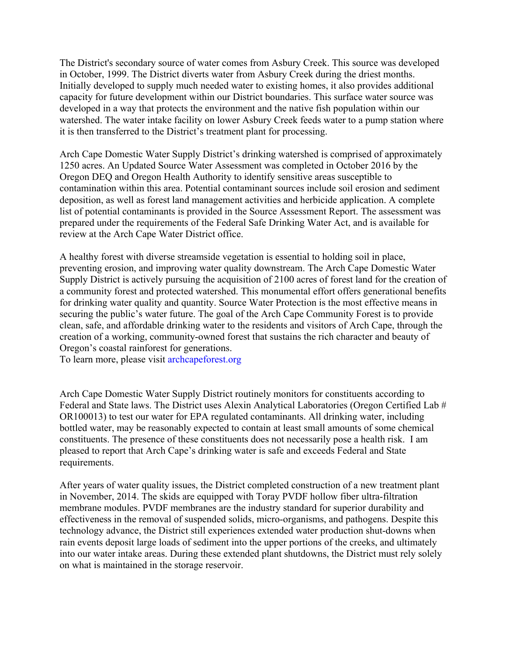The District's secondary source of water comes from Asbury Creek. This source was developed in October, 1999. The District diverts water from Asbury Creek during the driest months. Initially developed to supply much needed water to existing homes, it also provides additional capacity for future development within our District boundaries. This surface water source was developed in a way that protects the environment and the native fish population within our watershed. The water intake facility on lower Asbury Creek feeds water to a pump station where it is then transferred to the District's treatment plant for processing.

Arch Cape Domestic Water Supply District's drinking watershed is comprised of approximately 1250 acres. An Updated Source Water Assessment was completed in October 2016 by the Oregon DEQ and Oregon Health Authority to identify sensitive areas susceptible to contamination within this area. Potential contaminant sources include soil erosion and sediment deposition, as well as forest land management activities and herbicide application. A complete list of potential contaminants is provided in the Source Assessment Report. The assessment was prepared under the requirements of the Federal Safe Drinking Water Act, and is available for review at the Arch Cape Water District office.

A healthy forest with diverse streamside vegetation is essential to holding soil in place, preventing erosion, and improving water quality downstream. The Arch Cape Domestic Water Supply District is actively pursuing the acquisition of 2100 acres of forest land for the creation of a community forest and protected watershed. This monumental effort offers generational benefits for drinking water quality and quantity. Source Water Protection is the most effective means in securing the public's water future. The goal of the Arch Cape Community Forest is to provide clean, safe, and affordable drinking water to the residents and visitors of Arch Cape, through the creation of a working, community-owned forest that sustains the rich character and beauty of Oregon's coastal rainforest for generations.

To learn more, please visit archcapeforest.org

Arch Cape Domestic Water Supply District routinely monitors for constituents according to Federal and State laws. The District uses Alexin Analytical Laboratories (Oregon Certified Lab # OR100013) to test our water for EPA regulated contaminants. All drinking water, including bottled water, may be reasonably expected to contain at least small amounts of some chemical constituents. The presence of these constituents does not necessarily pose a health risk. I am pleased to report that Arch Cape's drinking water is safe and exceeds Federal and State requirements.

After years of water quality issues, the District completed construction of a new treatment plant in November, 2014. The skids are equipped with Toray PVDF hollow fiber ultra-filtration membrane modules. PVDF membranes are the industry standard for superior durability and effectiveness in the removal of suspended solids, micro-organisms, and pathogens. Despite this technology advance, the District still experiences extended water production shut-downs when rain events deposit large loads of sediment into the upper portions of the creeks, and ultimately into our water intake areas. During these extended plant shutdowns, the District must rely solely on what is maintained in the storage reservoir.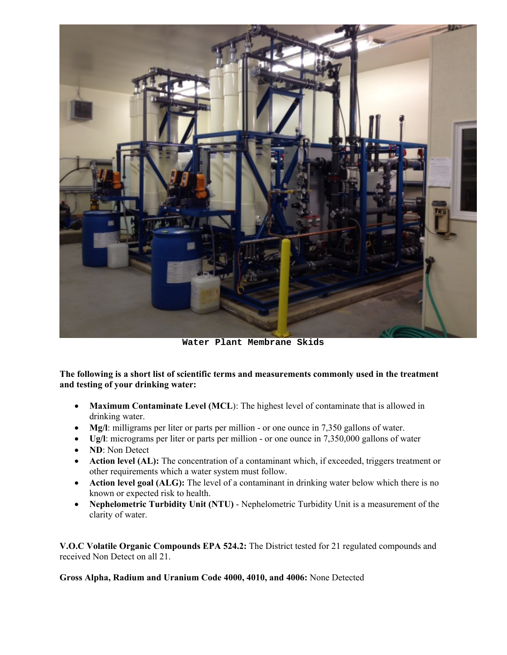

**Water Plant Membrane Skids** 

**The following is a short list of scientific terms and measurements commonly used in the treatment and testing of your drinking water:** 

- **Maximum Contaminate Level (MCL**): The highest level of contaminate that is allowed in drinking water.
- Mg/l: milligrams per liter or parts per million or one ounce in 7,350 gallons of water.
- **Ug/l**: micrograms per liter or parts per million or one ounce in 7,350,000 gallons of water
- **ND**: Non Detect
- Action level (AL): The concentration of a contaminant which, if exceeded, triggers treatment or other requirements which a water system must follow.
- **Action level goal (ALG):** The level of a contaminant in drinking water below which there is no known or expected risk to health.
- **Nephelometric Turbidity Unit (NTU)** Nephelometric Turbidity Unit is a measurement of the clarity of water.

**V.O.C Volatile Organic Compounds EPA 524.2:** The District tested for 21 regulated compounds and received Non Detect on all 21.

**Gross Alpha, Radium and Uranium Code 4000, 4010, and 4006:** None Detected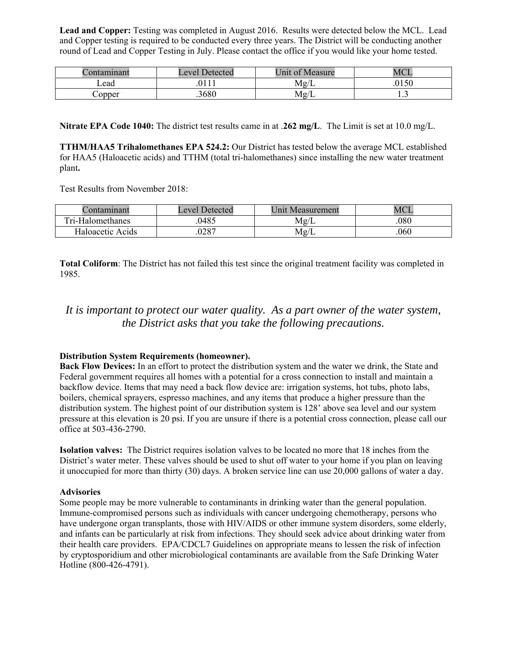**Lead and Copper:** Testing was completed in August 2016. Results were detected below the MCL. Lead and Copper testing is required to be conducted every three years. The District will be conducting another round of Lead and Copper Testing in July. Please contact the office if you would like your home tested.

| tamınant<br>$\alpha$ m | <b>Detected</b><br>Level 1 | Jnit of Measure   | <b>MCI</b> |
|------------------------|----------------------------|-------------------|------------|
| Lead                   |                            | $\sqrt{ }$<br>Mg/ | .0150      |
| $\cup$ opper           | .3680                      | Mg/               | <b>1.J</b> |

**Nitrate EPA Code 1040:** The district test results came in at .**262 mg/L**. The Limit is set at 10.0 mg/L.

**TTHM/HAA5 Trihalomethanes EPA 524.2:** Our District has tested below the average MCL established for HAA5 (Haloacetic acids) and TTHM (total tri-halomethanes) since installing the new water treatment plant**.** 

Test Results from November 2018:

| Jontamınant      | Level Detected | Unit<br>Measurement | MCI  |
|------------------|----------------|---------------------|------|
| Tri-Halomethanes | 0485           | $\rm Mg/L$          | .080 |
| Haloacetic Acids | 0287           | Mg/L                | 060  |

**Total Coliform**: The District has not failed this test since the original treatment facility was completed in 1985.

## *It is important to protect our water quality. As a part owner of the water system, the District asks that you take the following precautions.*

### **Distribution System Requirements (homeowner).**

**Back Flow Devices:** In an effort to protect the distribution system and the water we drink, the State and Federal government requires all homes with a potential for a cross connection to install and maintain a backflow device. Items that may need a back flow device are: irrigation systems, hot tubs, photo labs, boilers, chemical sprayers, espresso machines, and any items that produce a higher pressure than the distribution system. The highest point of our distribution system is 128' above sea level and our system pressure at this elevation is 20 psi. If you are unsure if there is a potential cross connection, please call our office at 503-436-2790.

**Isolation valves:** The District requires isolation valves to be located no more that 18 inches from the District's water meter. These valves should be used to shut off water to your home if you plan on leaving it unoccupied for more than thirty (30) days. A broken service line can use 20,000 gallons of water a day.

### **Advisories**

Some people may be more vulnerable to contaminants in drinking water than the general population. Immune-compromised persons such as individuals with cancer undergoing chemotherapy, persons who have undergone organ transplants, those with HIV/AIDS or other immune system disorders, some elderly, and infants can be particularly at risk from infections. They should seek advice about drinking water from their health care providers. EPA/CDCL7 Guidelines on appropriate means to lessen the risk of infection by cryptosporidium and other microbiological contaminants are available from the Safe Drinking Water Hotline (800-426-4791).